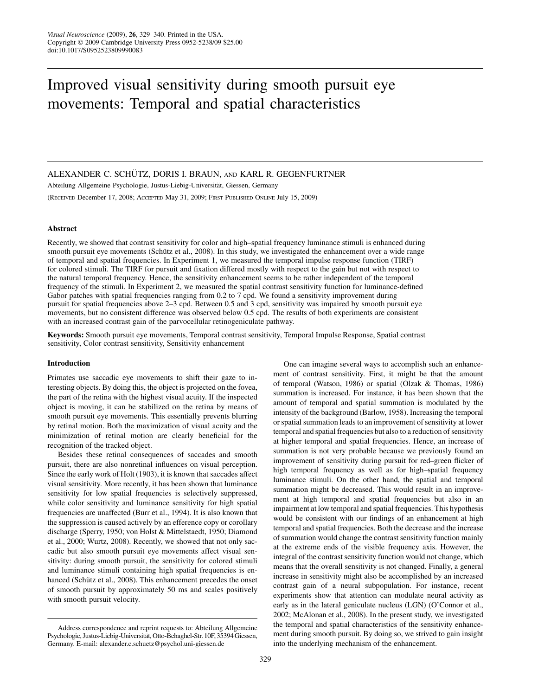# Improved visual sensitivity during smooth pursuit eye movements: Temporal and spatial characteristics

# ALEXANDER C. SCHÜTZ, DORIS I. BRAUN, AND KARL R. GEGENFURTNER

Abteilung Allgemeine Psychologie, Justus-Liebig-Universität, Giessen, Germany (RECEIVED December 17, 2008; ACCEPTED May 31, 2009; FIRST PUBLISHED ONLINE July 15, 2009)

# Abstract

Recently, we showed that contrast sensitivity for color and high–spatial frequency luminance stimuli is enhanced during smooth pursuit eye movements (Schütz et al., 2008). In this study, we investigated the enhancement over a wide range of temporal and spatial frequencies. In Experiment 1, we measured the temporal impulse response function (TIRF) for colored stimuli. The TIRF for pursuit and fixation differed mostly with respect to the gain but not with respect to the natural temporal frequency. Hence, the sensitivity enhancement seems to be rather independent of the temporal frequency of the stimuli. In Experiment 2, we measured the spatial contrast sensitivity function for luminance-defined Gabor patches with spatial frequencies ranging from 0.2 to 7 cpd. We found a sensitivity improvement during pursuit for spatial frequencies above 2–3 cpd. Between 0.5 and 3 cpd, sensitivity was impaired by smooth pursuit eye movements, but no consistent difference was observed below 0.5 cpd. The results of both experiments are consistent with an increased contrast gain of the parvocellular retinogeniculate pathway.

Keywords: Smooth pursuit eye movements, Temporal contrast sensitivity, Temporal Impulse Response, Spatial contrast sensitivity, Color contrast sensitivity, Sensitivity enhancement

## Introduction

Primates use saccadic eye movements to shift their gaze to interesting objects. By doing this, the object is projected on the fovea, the part of the retina with the highest visual acuity. If the inspected object is moving, it can be stabilized on the retina by means of smooth pursuit eye movements. This essentially prevents blurring by retinal motion. Both the maximization of visual acuity and the minimization of retinal motion are clearly beneficial for the recognition of the tracked object.

Besides these retinal consequences of saccades and smooth pursuit, there are also nonretinal influences on visual perception. Since the early work of Holt (1903), it is known that saccades affect visual sensitivity. More recently, it has been shown that luminance sensitivity for low spatial frequencies is selectively suppressed, while color sensitivity and luminance sensitivity for high spatial frequencies are unaffected (Burr et al., 1994). It is also known that the suppression is caused actively by an efference copy or corollary discharge (Sperry, 1950; von Holst & Mittelstaedt, 1950; Diamond et al., 2000; Wurtz, 2008). Recently, we showed that not only saccadic but also smooth pursuit eye movements affect visual sensitivity: during smooth pursuit, the sensitivity for colored stimuli and luminance stimuli containing high spatial frequencies is enhanced (Schütz et al., 2008). This enhancement precedes the onset of smooth pursuit by approximately 50 ms and scales positively with smooth pursuit velocity.

One can imagine several ways to accomplish such an enhancement of contrast sensitivity. First, it might be that the amount of temporal (Watson, 1986) or spatial (Olzak & Thomas, 1986) summation is increased. For instance, it has been shown that the amount of temporal and spatial summation is modulated by the intensity of the background (Barlow, 1958). Increasing the temporal or spatial summation leads to an improvement of sensitivity at lower temporal and spatial frequencies but also to a reduction of sensitivity at higher temporal and spatial frequencies. Hence, an increase of summation is not very probable because we previously found an improvement of sensitivity during pursuit for red–green flicker of high temporal frequency as well as for high–spatial frequency luminance stimuli. On the other hand, the spatial and temporal summation might be decreased. This would result in an improvement at high temporal and spatial frequencies but also in an impairment at low temporal and spatial frequencies. This hypothesis would be consistent with our findings of an enhancement at high temporal and spatial frequencies. Both the decrease and the increase of summation would change the contrast sensitivity function mainly at the extreme ends of the visible frequency axis. However, the integral of the contrast sensitivity function would not change, which means that the overall sensitivity is not changed. Finally, a general increase in sensitivity might also be accomplished by an increased contrast gain of a neural subpopulation. For instance, recent experiments show that attention can modulate neural activity as early as in the lateral geniculate nucleus (LGN) (O'Connor et al., 2002; McAlonan et al., 2008). In the present study, we investigated the temporal and spatial characteristics of the sensitivity enhancement during smooth pursuit. By doing so, we strived to gain insight into the underlying mechanism of the enhancement.

Address correspondence and reprint requests to: Abteilung Allgemeine Psychologie, Justus-Liebig-Universität, Otto-Behaghel-Str. 10F, 35394 Giessen, Germany. E-mail: alexander.c.schuetz@psychol.uni-giessen.de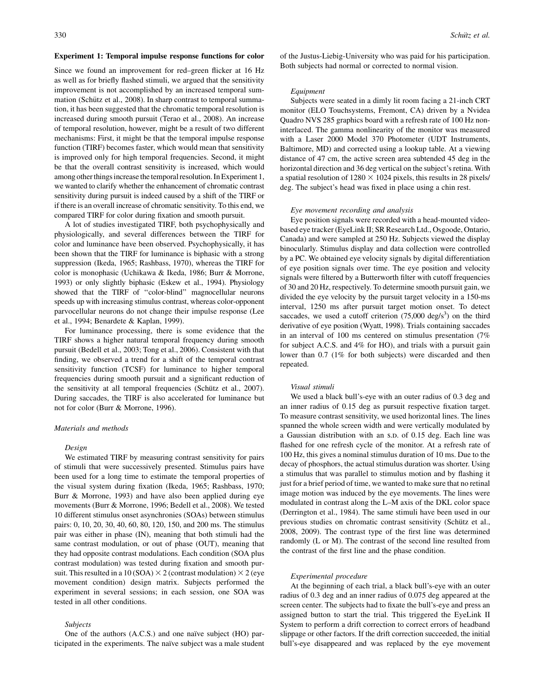## Experiment 1: Temporal impulse response functions for color

Since we found an improvement for red–green flicker at 16 Hz as well as for briefly flashed stimuli, we argued that the sensitivity improvement is not accomplished by an increased temporal summation (Schütz et al., 2008). In sharp contrast to temporal summation, it has been suggested that the chromatic temporal resolution is increased during smooth pursuit (Terao et al., 2008). An increase of temporal resolution, however, might be a result of two different mechanisms: First, it might be that the temporal impulse response function (TIRF) becomes faster, which would mean that sensitivity is improved only for high temporal frequencies. Second, it might be that the overall contrast sensitivity is increased, which would among other things increase the temporal resolution. In Experiment 1, we wanted to clarify whether the enhancement of chromatic contrast sensitivity during pursuit is indeed caused by a shift of the TIRF or if there is an overall increase of chromatic sensitivity. To this end, we compared TIRF for color during fixation and smooth pursuit.

A lot of studies investigated TIRF, both psychophysically and physiologically, and several differences between the TIRF for color and luminance have been observed. Psychophysically, it has been shown that the TIRF for luminance is biphasic with a strong suppression (Ikeda, 1965; Rashbass, 1970), whereas the TIRF for color is monophasic (Uchikawa & Ikeda, 1986; Burr & Morrone, 1993) or only slightly biphasic (Eskew et al., 1994). Physiology showed that the TIRF of ''color-blind'' magnocellular neurons speeds up with increasing stimulus contrast, whereas color-opponent parvocellular neurons do not change their impulse response (Lee et al., 1994; Benardete & Kaplan, 1999).

For luminance processing, there is some evidence that the TIRF shows a higher natural temporal frequency during smooth pursuit (Bedell et al., 2003; Tong et al., 2006). Consistent with that finding, we observed a trend for a shift of the temporal contrast sensitivity function (TCSF) for luminance to higher temporal frequencies during smooth pursuit and a significant reduction of the sensitivity at all temporal frequencies (Schütz et al., 2007). During saccades, the TIRF is also accelerated for luminance but not for color (Burr & Morrone, 1996).

## Materials and methods

## Design

We estimated TIRF by measuring contrast sensitivity for pairs of stimuli that were successively presented. Stimulus pairs have been used for a long time to estimate the temporal properties of the visual system during fixation (Ikeda, 1965; Rashbass, 1970; Burr & Morrone, 1993) and have also been applied during eye movements (Burr & Morrone, 1996; Bedell et al., 2008). We tested 10 different stimulus onset asynchronies (SOAs) between stimulus pairs: 0, 10, 20, 30, 40, 60, 80, 120, 150, and 200 ms. The stimulus pair was either in phase (IN), meaning that both stimuli had the same contrast modulation, or out of phase (OUT), meaning that they had opposite contrast modulations. Each condition (SOA plus contrast modulation) was tested during fixation and smooth pursuit. This resulted in a 10 (SOA)  $\times$  2 (contrast modulation)  $\times$  2 (eye movement condition) design matrix. Subjects performed the experiment in several sessions; in each session, one SOA was tested in all other conditions.

## Subjects

One of the authors (A.C.S.) and one naïve subject (HO) participated in the experiments. The naïve subject was a male student of the Justus-Liebig-University who was paid for his participation. Both subjects had normal or corrected to normal vision.

#### **Equipment**

Subjects were seated in a dimly lit room facing a 21-inch CRT monitor (ELO Touchsystems, Fremont, CA) driven by a Nvidea Quadro NVS 285 graphics board with a refresh rate of 100 Hz noninterlaced. The gamma nonlinearity of the monitor was measured with a Laser 2000 Model 370 Photometer (UDT Instruments, Baltimore, MD) and corrected using a lookup table. At a viewing distance of 47 cm, the active screen area subtended 45 deg in the horizontal direction and 36 deg vertical on the subject's retina. With a spatial resolution of  $1280 \times 1024$  pixels, this results in 28 pixels/ deg. The subject's head was fixed in place using a chin rest.

#### Eye movement recording and analysis

Eye position signals were recorded with a head-mounted videobased eye tracker (EyeLink II; SR Research Ltd., Osgoode, Ontario, Canada) and were sampled at 250 Hz. Subjects viewed the display binocularly. Stimulus display and data collection were controlled by a PC. We obtained eye velocity signals by digital differentiation of eye position signals over time. The eye position and velocity signals were filtered by a Butterworth filter with cutoff frequencies of 30 and 20 Hz, respectively. To determine smooth pursuit gain, we divided the eye velocity by the pursuit target velocity in a 150-ms interval, 1250 ms after pursuit target motion onset. To detect saccades, we used a cutoff criterion  $(75,000 \text{ deg/s}^3)$  on the third derivative of eye position (Wyatt, 1998). Trials containing saccades in an interval of 100 ms centered on stimulus presentation (7% for subject A.C.S. and 4% for HO), and trials with a pursuit gain lower than 0.7 (1% for both subjects) were discarded and then repeated.

## Visual stimuli

We used a black bull's-eye with an outer radius of 0.3 deg and an inner radius of 0.15 deg as pursuit respective fixation target. To measure contrast sensitivity, we used horizontal lines. The lines spanned the whole screen width and were vertically modulated by a Gaussian distribution with an s.D. of 0.15 deg. Each line was flashed for one refresh cycle of the monitor. At a refresh rate of 100 Hz, this gives a nominal stimulus duration of 10 ms. Due to the decay of phosphors, the actual stimulus duration was shorter. Using a stimulus that was parallel to stimulus motion and by flashing it just for a brief period of time, we wanted to make sure that no retinal image motion was induced by the eye movements. The lines were modulated in contrast along the L–M axis of the DKL color space (Derrington et al., 1984). The same stimuli have been used in our previous studies on chromatic contrast sensitivity (Schütz et al., 2008, 2009). The contrast type of the first line was determined randomly (L or M). The contrast of the second line resulted from the contrast of the first line and the phase condition.

#### Experimental procedure

At the beginning of each trial, a black bull's-eye with an outer radius of 0.3 deg and an inner radius of 0.075 deg appeared at the screen center. The subjects had to fixate the bull's-eye and press an assigned button to start the trial. This triggered the EyeLink II System to perform a drift correction to correct errors of headband slippage or other factors. If the drift correction succeeded, the initial bull's-eye disappeared and was replaced by the eye movement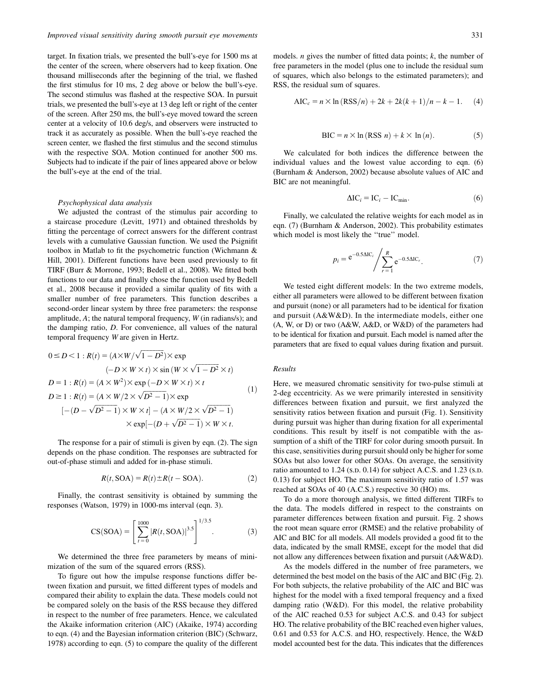target. In fixation trials, we presented the bull's-eye for 1500 ms at the center of the screen, where observers had to keep fixation. One thousand milliseconds after the beginning of the trial, we flashed the first stimulus for 10 ms, 2 deg above or below the bull's-eye. The second stimulus was flashed at the respective SOA. In pursuit trials, we presented the bull's-eye at 13 deg left or right of the center of the screen. After 250 ms, the bull's-eye moved toward the screen center at a velocity of 10.6 deg/s, and observers were instructed to track it as accurately as possible. When the bull's-eye reached the screen center, we flashed the first stimulus and the second stimulus with the respective SOA. Motion continued for another 500 ms. Subjects had to indicate if the pair of lines appeared above or below the bull's-eye at the end of the trial.

# Psychophysical data analysis

We adjusted the contrast of the stimulus pair according to a staircase procedure (Levitt, 1971) and obtained thresholds by fitting the percentage of correct answers for the different contrast levels with a cumulative Gaussian function. We used the Psignifit toolbox in Matlab to fit the psychometric function (Wichmann & Hill, 2001). Different functions have been used previously to fit TIRF (Burr & Morrone, 1993; Bedell et al., 2008). We fitted both functions to our data and finally chose the function used by Bedell et al., 2008 because it provided a similar quality of fits with a smaller number of free parameters. This function describes a second-order linear system by three free parameters: the response amplitude, A; the natural temporal frequency, W (in radians/s); and the damping ratio, D. For convenience, all values of the natural temporal frequency W are given in Hertz.

$$
0 \leq D < 1 : R(t) = (A \times W / \sqrt{1 - D^2}) \times \exp
$$
\n
$$
(-D \times W \times t) \times \sin(W \times \sqrt{1 - D^2} \times t)
$$
\n
$$
D = 1 : R(t) = (A \times W^2) \times \exp(-D \times W \times t) \times t
$$
\n
$$
D \geq 1 : R(t) = (A \times W / 2 \times \sqrt{D^2 - 1}) \times \exp
$$
\n
$$
[-(D - \sqrt{D^2 - 1}) \times W \times t] - (A \times W / 2 \times \sqrt{D^2 - 1}) \times \exp[-(D + \sqrt{D^2 - 1}) \times W \times t].
$$
\n(1)

The response for a pair of stimuli is given by eqn. (2). The sign depends on the phase condition. The responses are subtracted for out-of-phase stimuli and added for in-phase stimuli.

$$
R(t, \text{SOA}) = R(t) \pm R(t - \text{SOA}). \tag{2}
$$

Finally, the contrast sensitivity is obtained by summing the responses (Watson, 1979) in 1000-ms interval (eqn. 3).

$$
CS(SOA) = \left[\sum_{t=0}^{1000} |R(t, SOA)|^{3.5}\right]^{1/3.5}.
$$
 (3)

We determined the three free parameters by means of minimization of the sum of the squared errors (RSS).

To figure out how the impulse response functions differ between fixation and pursuit, we fitted different types of models and compared their ability to explain the data. These models could not be compared solely on the basis of the RSS because they differed in respect to the number of free parameters. Hence, we calculated the Akaike information criterion (AIC) (Akaike, 1974) according to eqn. (4) and the Bayesian information criterion (BIC) (Schwarz, 1978) according to eqn. (5) to compare the quality of the different models. *n* gives the number of fitted data points;  $k$ , the number of free parameters in the model (plus one to include the residual sum of squares, which also belongs to the estimated parameters); and RSS, the residual sum of squares.

$$
AIC_c = n \times \ln (RSS/n) + 2k + 2k(k+1)/n - k - 1.
$$
 (4)

$$
BIC = n \times \ln(RSS \ n) + k \times \ln(n). \tag{5}
$$

We calculated for both indices the difference between the individual values and the lowest value according to eqn. (6) (Burnham & Anderson, 2002) because absolute values of AIC and BIC are not meaningful.

$$
\Delta IC_i = IC_i - IC_{\min}.\tag{6}
$$

Finally, we calculated the relative weights for each model as in eqn. (7) (Burnham & Anderson, 2002). This probability estimates which model is most likely the "true" model.

$$
p_i = e^{-0.5\Delta IC_i} / \sum_{r=1}^{R} e^{-0.5\Delta IC_r}.
$$
 (7)

We tested eight different models: In the two extreme models, either all parameters were allowed to be different between fixation and pursuit (none) or all parameters had to be identical for fixation and pursuit (A&W&D). In the intermediate models, either one (A, W, or D) or two (A&W, A&D, or W&D) of the parameters had to be identical for fixation and pursuit. Each model is named after the parameters that are fixed to equal values during fixation and pursuit.

## Results

Here, we measured chromatic sensitivity for two-pulse stimuli at 2-deg eccentricity. As we were primarily interested in sensitivity differences between fixation and pursuit, we first analyzed the sensitivity ratios between fixation and pursuit (Fig. 1). Sensitivity during pursuit was higher than during fixation for all experimental conditions. This result by itself is not compatible with the assumption of a shift of the TIRF for color during smooth pursuit. In this case, sensitivities during pursuit should only be higher for some SOAs but also lower for other SOAs. On average, the sensitivity ratio amounted to  $1.24$  (s.p. 0.14) for subject A.C.S. and  $1.23$  (s.p. 0.13) for subject HO. The maximum sensitivity ratio of 1.57 was reached at SOAs of 40 (A.C.S.) respective 30 (HO) ms.

To do a more thorough analysis, we fitted different TIRFs to the data. The models differed in respect to the constraints on parameter differences between fixation and pursuit. Fig. 2 shows the root mean square error (RMSE) and the relative probability of AIC and BIC for all models. All models provided a good fit to the data, indicated by the small RMSE, except for the model that did not allow any differences between fixation and pursuit (A&W&D).

As the models differed in the number of free parameters, we determined the best model on the basis of the AIC and BIC (Fig. 2). For both subjects, the relative probability of the AIC and BIC was highest for the model with a fixed temporal frequency and a fixed damping ratio (W&D). For this model, the relative probability of the AIC reached 0.53 for subject A.C.S. and 0.43 for subject HO. The relative probability of the BIC reached even higher values, 0.61 and 0.53 for A.C.S. and HO, respectively. Hence, the W&D model accounted best for the data. This indicates that the differences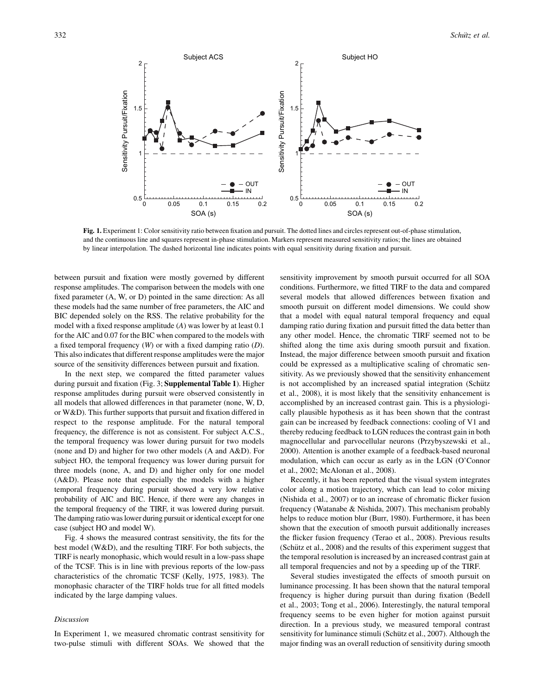

Fig. 1. Experiment 1: Color sensitivity ratio between fixation and pursuit. The dotted lines and circles represent out-of-phase stimulation, and the continuous line and squares represent in-phase stimulation. Markers represent measured sensitivity ratios; the lines are obtained by linear interpolation. The dashed horizontal line indicates points with equal sensitivity during fixation and pursuit.

between pursuit and fixation were mostly governed by different response amplitudes. The comparison between the models with one fixed parameter (A, W, or D) pointed in the same direction: As all these models had the same number of free parameters, the AIC and BIC depended solely on the RSS. The relative probability for the model with a fixed response amplitude (A) was lower by at least 0.1 for the AIC and 0.07 for the BIC when compared to the models with a fixed temporal frequency  $(W)$  or with a fixed damping ratio  $(D)$ . This also indicates that different response amplitudes were the major source of the sensitivity differences between pursuit and fixation.

In the next step, we compared the fitted parameter values during pursuit and fixation (Fig. 3; Supplemental Table 1). Higher response amplitudes during pursuit were observed consistently in all models that allowed differences in that parameter (none, W, D, or W&D). This further supports that pursuit and fixation differed in respect to the response amplitude. For the natural temporal frequency, the difference is not as consistent. For subject A.C.S., the temporal frequency was lower during pursuit for two models (none and D) and higher for two other models (A and A&D). For subject HO, the temporal frequency was lower during pursuit for three models (none, A, and D) and higher only for one model (A&D). Please note that especially the models with a higher temporal frequency during pursuit showed a very low relative probability of AIC and BIC. Hence, if there were any changes in the temporal frequency of the TIRF, it was lowered during pursuit. The damping ratio was lower during pursuit or identical except for one case (subject HO and model W).

Fig. 4 shows the measured contrast sensitivity, the fits for the best model (W&D), and the resulting TIRF. For both subjects, the TIRF is nearly monophasic, which would result in a low-pass shape of the TCSF. This is in line with previous reports of the low-pass characteristics of the chromatic TCSF (Kelly, 1975, 1983). The monophasic character of the TIRF holds true for all fitted models indicated by the large damping values.

## Discussion

In Experiment 1, we measured chromatic contrast sensitivity for two-pulse stimuli with different SOAs. We showed that the sensitivity improvement by smooth pursuit occurred for all SOA conditions. Furthermore, we fitted TIRF to the data and compared several models that allowed differences between fixation and smooth pursuit on different model dimensions. We could show that a model with equal natural temporal frequency and equal damping ratio during fixation and pursuit fitted the data better than any other model. Hence, the chromatic TIRF seemed not to be shifted along the time axis during smooth pursuit and fixation. Instead, the major difference between smooth pursuit and fixation could be expressed as a multiplicative scaling of chromatic sensitivity. As we previously showed that the sensitivity enhancement is not accomplished by an increased spatial integration (Schütz et al., 2008), it is most likely that the sensitivity enhancement is accomplished by an increased contrast gain. This is a physiologically plausible hypothesis as it has been shown that the contrast gain can be increased by feedback connections: cooling of V1 and thereby reducing feedback to LGN reduces the contrast gain in both magnocellular and parvocellular neurons (Przybyszewski et al., 2000). Attention is another example of a feedback-based neuronal modulation, which can occur as early as in the LGN (O'Connor et al., 2002; McAlonan et al., 2008).

Recently, it has been reported that the visual system integrates color along a motion trajectory, which can lead to color mixing (Nishida et al., 2007) or to an increase of chromatic flicker fusion frequency (Watanabe & Nishida, 2007). This mechanism probably helps to reduce motion blur (Burr, 1980). Furthermore, it has been shown that the execution of smooth pursuit additionally increases the flicker fusion frequency (Terao et al., 2008). Previous results (Schütz et al., 2008) and the results of this experiment suggest that the temporal resolution is increased by an increased contrast gain at all temporal frequencies and not by a speeding up of the TIRF.

Several studies investigated the effects of smooth pursuit on luminance processing. It has been shown that the natural temporal frequency is higher during pursuit than during fixation (Bedell et al., 2003; Tong et al., 2006). Interestingly, the natural temporal frequency seems to be even higher for motion against pursuit direction. In a previous study, we measured temporal contrast sensitivity for luminance stimuli (Schütz et al., 2007). Although the major finding was an overall reduction of sensitivity during smooth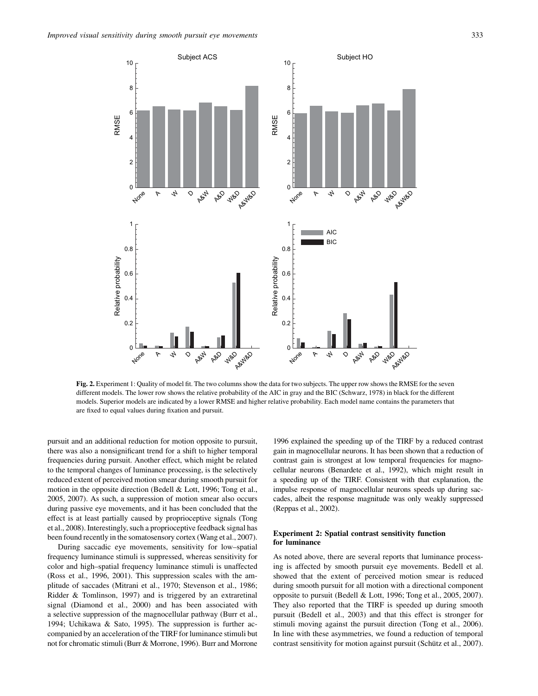

Fig. 2. Experiment 1: Quality of model fit. The two columns show the data for two subjects. The upper row shows the RMSE for the seven different models. The lower row shows the relative probability of the AIC in gray and the BIC (Schwarz, 1978) in black for the different models. Superior models are indicated by a lower RMSE and higher relative probability. Each model name contains the parameters that are fixed to equal values during fixation and pursuit.

pursuit and an additional reduction for motion opposite to pursuit, there was also a nonsignificant trend for a shift to higher temporal frequencies during pursuit. Another effect, which might be related to the temporal changes of luminance processing, is the selectively reduced extent of perceived motion smear during smooth pursuit for motion in the opposite direction (Bedell & Lott, 1996; Tong et al., 2005, 2007). As such, a suppression of motion smear also occurs during passive eye movements, and it has been concluded that the effect is at least partially caused by proprioceptive signals (Tong et al., 2008). Interestingly, such a proprioceptive feedback signal has been found recently in the somatosensory cortex (Wang et al., 2007).

During saccadic eye movements, sensitivity for low–spatial frequency luminance stimuli is suppressed, whereas sensitivity for color and high–spatial frequency luminance stimuli is unaffected (Ross et al., 1996, 2001). This suppression scales with the amplitude of saccades (Mitrani et al., 1970; Stevenson et al., 1986; Ridder & Tomlinson, 1997) and is triggered by an extraretinal signal (Diamond et al., 2000) and has been associated with a selective suppression of the magnocellular pathway (Burr et al., 1994; Uchikawa & Sato, 1995). The suppression is further accompanied by an acceleration of the TIRF for luminance stimuli but not for chromatic stimuli (Burr & Morrone, 1996). Burr and Morrone

1996 explained the speeding up of the TIRF by a reduced contrast gain in magnocellular neurons. It has been shown that a reduction of contrast gain is strongest at low temporal frequencies for magnocellular neurons (Benardete et al., 1992), which might result in a speeding up of the TIRF. Consistent with that explanation, the impulse response of magnocellular neurons speeds up during saccades, albeit the response magnitude was only weakly suppressed (Reppas et al., 2002).

# Experiment 2: Spatial contrast sensitivity function for luminance

As noted above, there are several reports that luminance processing is affected by smooth pursuit eye movements. Bedell et al. showed that the extent of perceived motion smear is reduced during smooth pursuit for all motion with a directional component opposite to pursuit (Bedell & Lott, 1996; Tong et al., 2005, 2007). They also reported that the TIRF is speeded up during smooth pursuit (Bedell et al., 2003) and that this effect is stronger for stimuli moving against the pursuit direction (Tong et al., 2006). In line with these asymmetries, we found a reduction of temporal contrast sensitivity for motion against pursuit (Schütz et al., 2007).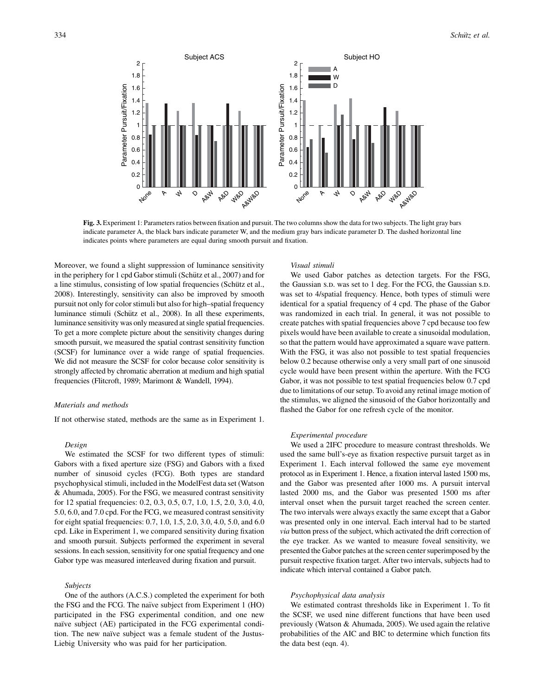

Fig. 3. Experiment 1: Parameters ratios between fixation and pursuit. The two columns show the data for two subjects. The light gray bars indicate parameter A, the black bars indicate parameter W, and the medium gray bars indicate parameter D. The dashed horizontal line indicates points where parameters are equal during smooth pursuit and fixation.

Moreover, we found a slight suppression of luminance sensitivity in the periphery for 1 cpd Gabor stimuli (Schütz et al., 2007) and for a line stimulus, consisting of low spatial frequencies (Schütz et al., 2008). Interestingly, sensitivity can also be improved by smooth pursuit not only for color stimuli but also for high–spatial frequency luminance stimuli (Schütz et al., 2008). In all these experiments, luminance sensitivity was only measured at single spatial frequencies. To get a more complete picture about the sensitivity changes during smooth pursuit, we measured the spatial contrast sensitivity function (SCSF) for luminance over a wide range of spatial frequencies. We did not measure the SCSF for color because color sensitivity is strongly affected by chromatic aberration at medium and high spatial frequencies (Flitcroft, 1989; Marimont & Wandell, 1994).

## Materials and methods

If not otherwise stated, methods are the same as in Experiment 1.

## Design

We estimated the SCSF for two different types of stimuli: Gabors with a fixed aperture size (FSG) and Gabors with a fixed number of sinusoid cycles (FCG). Both types are standard psychophysical stimuli, included in the ModelFest data set (Watson & Ahumada, 2005). For the FSG, we measured contrast sensitivity for 12 spatial frequencies: 0.2, 0.3, 0.5, 0.7, 1.0, 1.5, 2.0, 3.0, 4.0, 5.0, 6.0, and 7.0 cpd. For the FCG, we measured contrast sensitivity for eight spatial frequencies: 0.7, 1.0, 1.5, 2.0, 3.0, 4.0, 5.0, and 6.0 cpd. Like in Experiment 1, we compared sensitivity during fixation and smooth pursuit. Subjects performed the experiment in several sessions. In each session, sensitivity for one spatial frequency and one Gabor type was measured interleaved during fixation and pursuit.

## Subjects

One of the authors (A.C.S.) completed the experiment for both the FSG and the FCG. The naïve subject from Experiment 1 (HO) participated in the FSG experimental condition, and one new naïve subject (AE) participated in the FCG experimental condition. The new naïve subject was a female student of the Justus-Liebig University who was paid for her participation.

## Visual stimuli

We used Gabor patches as detection targets. For the FSG, the Gaussian s.p. was set to 1 deg. For the FCG, the Gaussian s.p. was set to 4/spatial frequency. Hence, both types of stimuli were identical for a spatial frequency of 4 cpd. The phase of the Gabor was randomized in each trial. In general, it was not possible to create patches with spatial frequencies above 7 cpd because too few pixels would have been available to create a sinusoidal modulation, so that the pattern would have approximated a square wave pattern. With the FSG, it was also not possible to test spatial frequencies below 0.2 because otherwise only a very small part of one sinusoid cycle would have been present within the aperture. With the FCG Gabor, it was not possible to test spatial frequencies below 0.7 cpd due to limitations of our setup. To avoid any retinal image motion of the stimulus, we aligned the sinusoid of the Gabor horizontally and flashed the Gabor for one refresh cycle of the monitor.

#### Experimental procedure

We used a 2IFC procedure to measure contrast thresholds. We used the same bull's-eye as fixation respective pursuit target as in Experiment 1. Each interval followed the same eye movement protocol as in Experiment 1. Hence, a fixation interval lasted 1500 ms, and the Gabor was presented after 1000 ms. A pursuit interval lasted 2000 ms, and the Gabor was presented 1500 ms after interval onset when the pursuit target reached the screen center. The two intervals were always exactly the same except that a Gabor was presented only in one interval. Each interval had to be started via button press of the subject, which activated the drift correction of the eye tracker. As we wanted to measure foveal sensitivity, we presented the Gabor patches at the screen center superimposed by the pursuit respective fixation target. After two intervals, subjects had to indicate which interval contained a Gabor patch.

#### Psychophysical data analysis

We estimated contrast thresholds like in Experiment 1. To fit the SCSF, we used nine different functions that have been used previously (Watson & Ahumada, 2005). We used again the relative probabilities of the AIC and BIC to determine which function fits the data best (eqn. 4).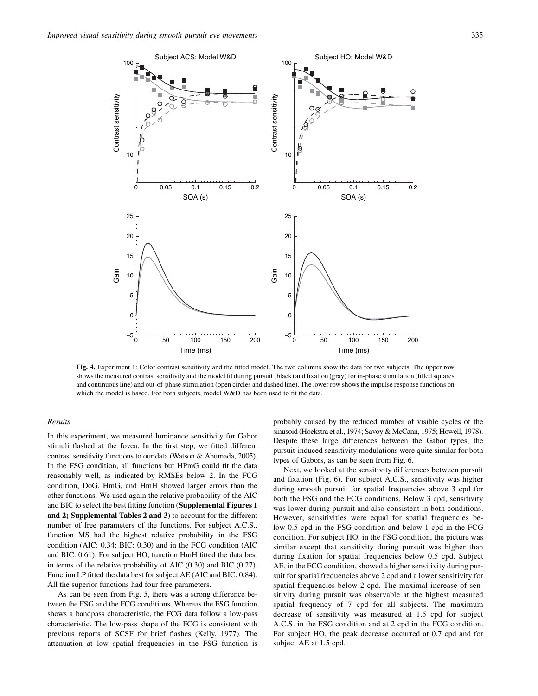C

Θ Ŕ,

10

−5 L<br>0

 $\mathsf{C}$ 

5

10

Gain

15

20

25

Contrast sensitivity

Contrast sensitivity

100



Fig. 4. Experiment 1: Color contrast sensitivity and the fitted model. The two columns show the data for two subjects. The upper row shows the measured contrast sensitivity and the model fit during pursuit (black) and fixation (gray) for in-phase stimulation (filled squares and continuous line) and out-of-phase stimulation (open circles and dashed line). The lower row shows the impulse response functions on which the model is based. For both subjects, model W&D has been used to fit the data.

−5 L<br>0

 $\mathsf{C}$ 

5

10

0 50 100 150 200

Time (ms)

# Results

In this experiment, we measured luminance sensitivity for Gabor stimuli flashed at the fovea. In the first step, we fitted different contrast sensitivity functions to our data (Watson & Ahumada, 2005). In the FSG condition, all functions but HPmG could fit the data reasonably well, as indicated by RMSEs below 2. In the FCG condition, DoG, HmG, and HmH showed larger errors than the other functions. We used again the relative probability of the AIC and BIC to select the best fitting function (Supplemental Figures 1 and 2; Supplemental Tables 2 and 3) to account for the different number of free parameters of the functions. For subject A.C.S., function MS had the highest relative probability in the FSG condition (AIC: 0.34; BIC: 0.30) and in the FCG condition (AIC and BIC: 0.61). For subject HO, function HmH fitted the data best in terms of the relative probability of AIC (0.30) and BIC (0.27). Function LP fitted the data best for subject AE (AIC and BIC: 0.84). All the superior functions had four free parameters.

As can be seen from Fig. 5, there was a strong difference between the FSG and the FCG conditions. Whereas the FSG function shows a bandpass characteristic, the FCG data follow a low-pass characteristic. The low-pass shape of the FCG is consistent with previous reports of SCSF for brief flashes (Kelly, 1977). The attenuation at low spatial frequencies in the FSG function is

probably caused by the reduced number of visible cycles of the sinusoid (Hoekstra et al., 1974; Savoy & McCann, 1975; Howell, 1978). Despite these large differences between the Gabor types, the pursuit-induced sensitivity modulations were quite similar for both types of Gabors, as can be seen from Fig. 6.

0 50 100 150 200

Time (ms)

Next, we looked at the sensitivity differences between pursuit and fixation (Fig. 6). For subject A.C.S., sensitivity was higher during smooth pursuit for spatial frequencies above 3 cpd for both the FSG and the FCG conditions. Below 3 cpd, sensitivity was lower during pursuit and also consistent in both conditions. However, sensitivities were equal for spatial frequencies below 0.5 cpd in the FSG condition and below 1 cpd in the FCG condition. For subject HO, in the FSG condition, the picture was similar except that sensitivity during pursuit was higher than during fixation for spatial frequencies below 0.5 cpd. Subject AE, in the FCG condition, showed a higher sensitivity during pursuit for spatial frequencies above 2 cpd and a lower sensitivity for spatial frequencies below 2 cpd. The maximal increase of sensitivity during pursuit was observable at the highest measured spatial frequency of 7 cpd for all subjects. The maximum decrease of sensitivity was measured at 1.5 cpd for subject A.C.S. in the FSG condition and at 2 cpd in the FCG condition. For subject HO, the peak decrease occurred at 0.7 cpd and for subject AE at 1.5 cpd.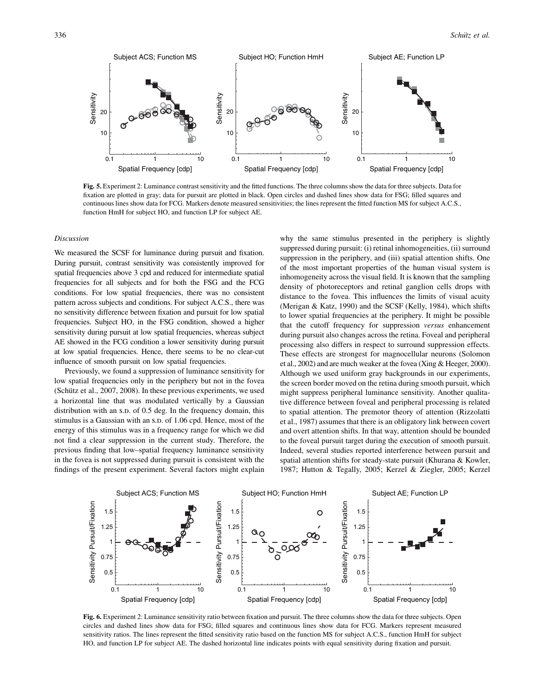

Fig. 5. Experiment 2: Luminance contrast sensitivity and the fitted functions. The three columns show the data for three subjects. Data for fixation are plotted in gray; data for pursuit are plotted in black. Open circles and dashed lines show data for FSG; filled squares and continuous lines show data for FCG. Markers denote measured sensitivities; the lines represent the fitted function MS for subject A.C.S., function HmH for subject HO, and function LP for subject AE.

#### Discussion

We measured the SCSF for luminance during pursuit and fixation. During pursuit, contrast sensitivity was consistently improved for spatial frequencies above 3 cpd and reduced for intermediate spatial frequencies for all subjects and for both the FSG and the FCG conditions. For low spatial frequencies, there was no consistent pattern across subjects and conditions. For subject A.C.S., there was no sensitivity difference between fixation and pursuit for low spatial frequencies. Subject HO, in the FSG condition, showed a higher sensitivity during pursuit at low spatial frequencies, whereas subject AE showed in the FCG condition a lower sensitivity during pursuit at low spatial frequencies. Hence, there seems to be no clear-cut influence of smooth pursuit on low spatial frequencies.

Previously, we found a suppression of luminance sensitivity for low spatial frequencies only in the periphery but not in the fovea (Schütz et al., 2007, 2008). In these previous experiments, we used a horizontal line that was modulated vertically by a Gaussian distribution with an s.p. of  $0.5$  deg. In the frequency domain, this stimulus is a Gaussian with an s.p. of 1.06 cpd. Hence, most of the energy of this stimulus was in a frequency range for which we did not find a clear suppression in the current study. Therefore, the previous finding that low–spatial frequency luminance sensitivity in the fovea is not suppressed during pursuit is consistent with the findings of the present experiment. Several factors might explain why the same stimulus presented in the periphery is slightly suppressed during pursuit: (i) retinal inhomogeneities, (ii) surround suppression in the periphery, and (iii) spatial attention shifts. One of the most important properties of the human visual system is inhomogeneity across the visual field. It is known that the sampling density of photoreceptors and retinal ganglion cells drops with distance to the fovea. This influences the limits of visual acuity (Merigan & Katz, 1990) and the SCSF (Kelly, 1984), which shifts to lower spatial frequencies at the periphery. It might be possible that the cutoff frequency for suppression versus enhancement during pursuit also changes across the retina. Foveal and peripheral processing also differs in respect to surround suppression effects. These effects are strongest for magnocellular neurons (Solomon et al., 2002) and are much weaker at the fovea (Xing & Heeger, 2000). Although we used uniform gray backgrounds in our experiments, the screen border moved on the retina during smooth pursuit, which might suppress peripheral luminance sensitivity. Another qualitative difference between foveal and peripheral processing is related to spatial attention. The premotor theory of attention (Rizzolatti et al., 1987) assumes that there is an obligatory link between covert and overt attention shifts. In that way, attention should be bounded to the foveal pursuit target during the execution of smooth pursuit. Indeed, several studies reported interference between pursuit and spatial attention shifts for steady-state pursuit (Khurana & Kowler, 1987; Hutton & Tegally, 2005; Kerzel & Ziegler, 2005; Kerzel



Fig. 6. Experiment 2: Luminance sensitivity ratio between fixation and pursuit. The three columns show the data for three subjects. Open circles and dashed lines show data for FSG; filled squares and continuous lines show data for FCG. Markers represent measured sensitivity ratios. The lines represent the fitted sensitivity ratio based on the function MS for subject A.C.S., function HmH for subject HO, and function LP for subject AE. The dashed horizontal line indicates points with equal sensitivity during fixation and pursuit.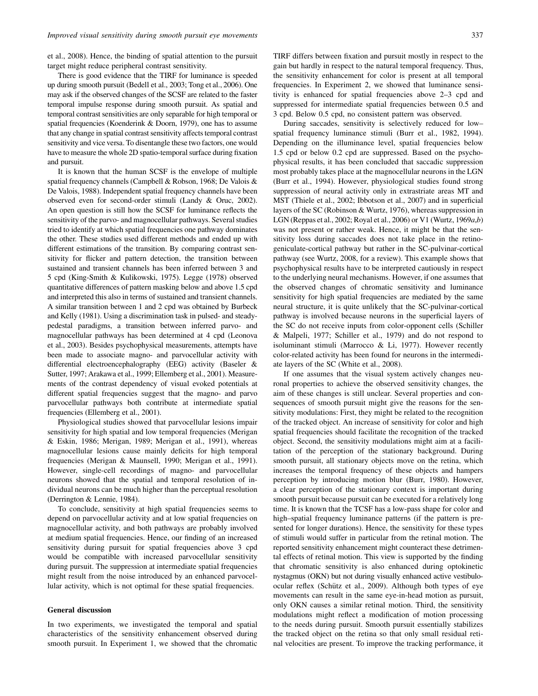et al., 2008). Hence, the binding of spatial attention to the pursuit target might reduce peripheral contrast sensitivity.

There is good evidence that the TIRF for luminance is speeded up during smooth pursuit (Bedell et al., 2003; Tong et al., 2006). One may ask if the observed changes of the SCSF are related to the faster temporal impulse response during smooth pursuit. As spatial and temporal contrast sensitivities are only separable for high temporal or spatial frequencies (Koenderink & Doorn, 1979), one has to assume that any change in spatial contrast sensitivity affects temporal contrast sensitivity and vice versa. To disentangle these two factors, one would have to measure the whole 2D spatio-temporal surface during fixation and pursuit.

It is known that the human SCSF is the envelope of multiple spatial frequency channels (Campbell & Robson, 1968; De Valois & De Valois, 1988). Independent spatial frequency channels have been observed even for second-order stimuli (Landy & Oruc, 2002). An open question is still how the SCSF for luminance reflects the sensitivity of the parvo- and magnocellular pathways. Several studies tried to identify at which spatial frequencies one pathway dominates the other. These studies used different methods and ended up with different estimations of the transition. By comparing contrast sensitivity for flicker and pattern detection, the transition between sustained and transient channels has been inferred between 3 and 5 cpd (King-Smith & Kulikowski, 1975). Legge (1978) observed quantitative differences of pattern masking below and above 1.5 cpd and interpreted this also in terms of sustained and transient channels. A similar transition between 1 and 2 cpd was obtained by Burbeck and Kelly (1981). Using a discrimination task in pulsed- and steadypedestal paradigms, a transition between inferred parvo- and magnocellular pathways has been determined at 4 cpd (Leonova et al., 2003). Besides psychophysical measurements, attempts have been made to associate magno- and parvocellular activity with differential electroencephalography (EEG) activity (Baseler & Sutter, 1997; Arakawa et al., 1999; Ellemberg et al., 2001). Measurements of the contrast dependency of visual evoked potentials at different spatial frequencies suggest that the magno- and parvo parvocellular pathways both contribute at intermediate spatial frequencies (Ellemberg et al., 2001).

Physiological studies showed that parvocellular lesions impair sensitivity for high spatial and low temporal frequencies (Merigan & Eskin, 1986; Merigan, 1989; Merigan et al., 1991), whereas magnocellular lesions cause mainly deficits for high temporal frequencies (Merigan & Maunsell, 1990; Merigan et al., 1991). However, single-cell recordings of magno- and parvocellular neurons showed that the spatial and temporal resolution of individual neurons can be much higher than the perceptual resolution (Derrington & Lennie, 1984).

To conclude, sensitivity at high spatial frequencies seems to depend on parvocellular activity and at low spatial frequencies on magnocellular activity, and both pathways are probably involved at medium spatial frequencies. Hence, our finding of an increased sensitivity during pursuit for spatial frequencies above 3 cpd would be compatible with increased parvocellular sensitivity during pursuit. The suppression at intermediate spatial frequencies might result from the noise introduced by an enhanced parvocellular activity, which is not optimal for these spatial frequencies.

## General discussion

In two experiments, we investigated the temporal and spatial characteristics of the sensitivity enhancement observed during smooth pursuit. In Experiment 1, we showed that the chromatic TIRF differs between fixation and pursuit mostly in respect to the gain but hardly in respect to the natural temporal frequency. Thus, the sensitivity enhancement for color is present at all temporal frequencies. In Experiment 2, we showed that luminance sensitivity is enhanced for spatial frequencies above 2–3 cpd and suppressed for intermediate spatial frequencies between 0.5 and 3 cpd. Below 0.5 cpd, no consistent pattern was observed.

During saccades, sensitivity is selectively reduced for low– spatial frequency luminance stimuli (Burr et al., 1982, 1994). Depending on the illuminance level, spatial frequencies below 1.5 cpd or below 0.2 cpd are suppressed. Based on the psychophysical results, it has been concluded that saccadic suppression most probably takes place at the magnocellular neurons in the LGN (Burr et al., 1994). However, physiological studies found strong suppression of neural activity only in extrastriate areas MT and MST (Thiele et al., 2002; Ibbotson et al., 2007) and in superficial layers of the SC (Robinson & Wurtz, 1976), whereas suppression in LGN (Reppas et al., 2002; Royal et al., 2006) or V1 (Wurtz, 1969 $a,b$ ) was not present or rather weak. Hence, it might be that the sensitivity loss during saccades does not take place in the retinogeniculate-cortical pathway but rather in the SC-pulvinar-cortical pathway (see Wurtz, 2008, for a review). This example shows that psychophysical results have to be interpreted cautiously in respect to the underlying neural mechanisms. However, if one assumes that the observed changes of chromatic sensitivity and luminance sensitivity for high spatial frequencies are mediated by the same neural structure, it is quite unlikely that the SC-pulvinar-cortical pathway is involved because neurons in the superficial layers of the SC do not receive inputs from color-opponent cells (Schiller & Malpeli, 1977; Schiller et al., 1979) and do not respond to isoluminant stimuli (Marrocco & Li, 1977). However recently color-related activity has been found for neurons in the intermediate layers of the SC (White et al., 2008).

If one assumes that the visual system actively changes neuronal properties to achieve the observed sensitivity changes, the aim of these changes is still unclear. Several properties and consequences of smooth pursuit might give the reasons for the sensitivity modulations: First, they might be related to the recognition of the tracked object. An increase of sensitivity for color and high spatial frequencies should facilitate the recognition of the tracked object. Second, the sensitivity modulations might aim at a facilitation of the perception of the stationary background. During smooth pursuit, all stationary objects move on the retina, which increases the temporal frequency of these objects and hampers perception by introducing motion blur (Burr, 1980). However, a clear perception of the stationary context is important during smooth pursuit because pursuit can be executed for a relatively long time. It is known that the TCSF has a low-pass shape for color and high–spatial frequency luminance patterns (if the pattern is presented for longer durations). Hence, the sensitivity for these types of stimuli would suffer in particular from the retinal motion. The reported sensitivity enhancement might counteract these detrimental effects of retinal motion. This view is supported by the finding that chromatic sensitivity is also enhanced during optokinetic nystagmus (OKN) but not during visually enhanced active vestibuloocular reflex (Schütz et al., 2009). Although both types of eye movements can result in the same eye-in-head motion as pursuit, only OKN causes a similar retinal motion. Third, the sensitivity modulations might reflect a modification of motion processing to the needs during pursuit. Smooth pursuit essentially stabilizes the tracked object on the retina so that only small residual retinal velocities are present. To improve the tracking performance, it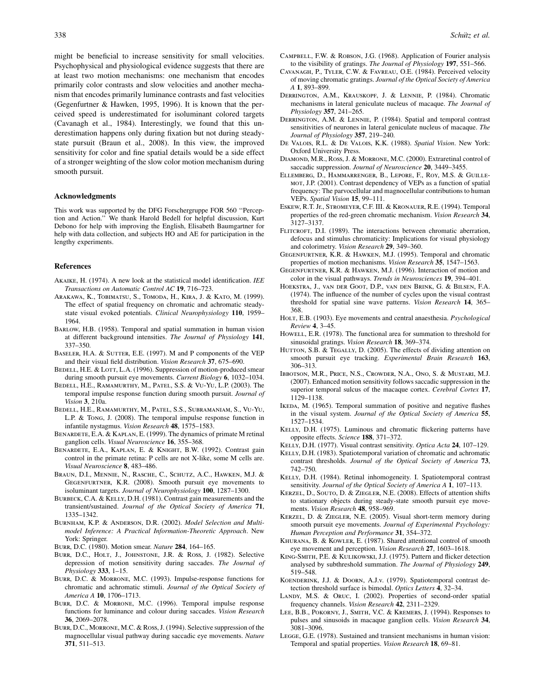might be beneficial to increase sensitivity for small velocities. Psychophysical and physiological evidence suggests that there are at least two motion mechanisms: one mechanism that encodes primarily color contrasts and slow velocities and another mechanism that encodes primarily luminance contrasts and fast velocities (Gegenfurtner & Hawken, 1995, 1996). It is known that the perceived speed is underestimated for isoluminant colored targets (Cavanagh et al., 1984). Interestingly, we found that this underestimation happens only during fixation but not during steadystate pursuit (Braun et al., 2008). In this view, the improved sensitivity for color and fine spatial details would be a side effect of a stronger weighting of the slow color motion mechanism during smooth pursuit.

## Acknowledgments

This work was supported by the DFG Forschergruppe FOR 560 ''Perception and Action.'' We thank Harold Bedell for helpful discussion, Kurt Debono for help with improving the English, Elisabeth Baumgartner for help with data collection, and subjects HO and AE for participation in the lengthy experiments.

## References

- AKAIKE, H. (1974). A new look at the statistical model identification. IEE Transactions on Automatic Control AC 19, 716–723.
- Arakawa, K., Tobimatsu, S., Tomoda, H., Kira, J. & Kato, M. (1999). The effect of spatial frequency on chromatic and achromatic steadystate visual evoked potentials. Clinical Neurophysiology 110, 1959– 1964.
- Barlow, H.B. (1958). Temporal and spatial summation in human vision at different background intensities. The Journal of Physiology 141, 337–350.
- BASELER, H.A. & SUTTER, E.E. (1997). M and P components of the VEP and their visual field distribution. Vision Research 37, 675–690.
- BEDELL, H.E. & LOTT, L.A. (1996). Suppression of motion-produced smear during smooth pursuit eye movements. Current Biology 6, 1032-1034.
- Bedell, H.E., Ramamurthy, M., Patel, S.S. & Vu-Yu, L.P. (2003). The temporal impulse response function during smooth pursuit. Journal of Vision 3, 210a.
- Bedell, H.E., Ramamurthy, M., Patel, S.S., Subramaniam, S., Vu-Yu, L.P. & Tong, J. (2008). The temporal impulse response function in infantile nystagmus. Vision Research 48, 1575–1583.
- BENARDETE, E.A. & KAPLAN, E. (1999). The dynamics of primate M retinal ganglion cells. Visual Neuroscience 16, 355–368.
- Benardete, E.A., Kaplan, E. & Knight, B.W. (1992). Contrast gain control in the primate retina: P cells are not X-like, some M cells are. Visual Neuroscience 8, 483–486.
- Braun, D.I., Mennie, N., Rasche, C., Schutz, A.C., Hawken, M.J. & Gegenfurtner, K.R. (2008). Smooth pursuit eye movements to isoluminant targets. Journal of Neurophysiology 100, 1287–1300.
- BURBECK, C.A. & KELLY, D.H. (1981). Contrast gain measurements and the transient/sustained. Journal of the Optical Society of America 71, 1335–1342.
- Burnham, K.P. & Anderson, D.R. (2002). Model Selection and Multimodel Inference: A Practical Information-Theoretic Approach. New York: Springer.
- Burr, D.C. (1980). Motion smear. Nature 284, 164–165.
- Burr, D.C., Holt, J., Johnstone, J.R. & Ross, J. (1982). Selective depression of motion sensitivity during saccades. The Journal of Physiology 333, 1–15.
- Burr, D.C. & Morrone, M.C. (1993). Impulse-response functions for chromatic and achromatic stimuli. Journal of the Optical Society of America A 10, 1706–1713.
- Burr, D.C. & Morrone, M.C. (1996). Temporal impulse response functions for luminance and colour during saccades. Vision Research 36, 2069–2078.
- Burr, D.C., Morrone, M.C. & Ross, J. (1994). Selective suppression of the magnocellular visual pathway during saccadic eye movements. Nature 371, 511–513.
- Campbell, F.W. & Robson, J.G. (1968). Application of Fourier analysis to the visibility of gratings. The Journal of Physiology 197, 551–566.
- Cavanagh, P., Tyler, C.W. & Favreau, O.E. (1984). Perceived velocity of moving chromatic gratings. Journal of the Optical Society of America A 1, 893–899.
- Derrington, A.M., Krauskopf, J. & Lennie, P. (1984). Chromatic mechanisms in lateral geniculate nucleus of macaque. The Journal of Physiology 357, 241–265.
- DERRINGTON, A.M. & LENNIE, P. (1984). Spatial and temporal contrast sensitivities of neurones in lateral geniculate nucleus of macaque. The Journal of Physiology 357, 219–240.
- De Valois, R.L. & De Valois, K.K. (1988). Spatial Vision. New York: Oxford University Press.
- Diamond, M.R., Ross, J. & Morrone, M.C. (2000). Extraretinal control of saccadic suppression. Journal of Neuroscience 20, 3449-3455.
- Ellemberg, D., Hammarrenger, B., Lepore, F., Roy, M.S. & Guillemot, J.P. (2001). Contrast dependency of VEPs as a function of spatial frequency: The parvocellular and magnocellular contributions to human VEPs. Spatial Vision 15, 99–111.
- Eskew, R.T. Jr., Stromeyer, C.F. III. & Kronauer, R.E. (1994). Temporal properties of the red-green chromatic mechanism. Vision Research 34, 3127–3137.
- FLITCROFT, D.I. (1989). The interactions between chromatic aberration, defocus and stimulus chromaticity: Implications for visual physiology and colorimetry. Vision Research 29, 349–360.
- Gegenfurtner, K.R. & Hawken, M.J. (1995). Temporal and chromatic properties of motion mechanisms. Vision Research 35, 1547–1563.
- Gegenfurtner, K.R. & Hawken, M.J. (1996). Interaction of motion and color in the visual pathways. Trends in Neurosciences 19, 394–401.
- Hoekstra, J., van der Goot, D.P., van den Brink, G. & Bilsen, F.A. (1974). The influence of the number of cycles upon the visual contrast threshold for spatial sine wave patterns. Vision Research 14, 365– 368.
- HOLT, E.B. (1903). Eye movements and central anaesthesia. Psychological Review 4, 3–45.
- Howell, E.R. (1978). The functional area for summation to threshold for sinusoidal gratings. Vision Research 18, 369–374.
- HUTTON, S.B. & TEGALLY, D. (2005). The effects of dividing attention on smooth pursuit eye tracking. Experimental Brain Research 163, 306–313.
- Ibbotson, M.R., Price, N.S., Crowder, N.A., Ono, S. & Mustari, M.J. (2007). Enhanced motion sensitivity follows saccadic suppression in the superior temporal sulcus of the macaque cortex. Cerebral Cortex 17, 1129–1138.
- IKEDA, M. (1965). Temporal summation of positive and negative flashes in the visual system. Journal of the Optical Society of America 55, 1527–1534.
- KELLY, D.H. (1975). Luminous and chromatic flickering patterns have opposite effects. Science 188, 371–372.
- KELLY, D.H. (1977). Visual contrast sensitivity. Optica Acta 24, 107-129.
- KELLY, D.H. (1983). Spatiotemporal variation of chromatic and achromatic contrast thresholds. Journal of the Optical Society of America 73, 742–750.
- Kelly, D.H. (1984). Retinal inhomogeneity. I. Spatiotemporal contrast sensitivity. Journal of the Optical Society of America A 1, 107-113.
- Kerzel, D., Souto, D. & Ziegler, N.E. (2008). Effects of attention shifts to stationary objects during steady-state smooth pursuit eye movements. *Vision Research* 48, 958–969.
- Kerzel, D. & Ziegler, N.E. (2005). Visual short-term memory during smooth pursuit eye movements. Journal of Experimental Psychology: Human Perception and Performance 31, 354–372.
- Khurana, B. & Kowler, E. (1987). Shared attentional control of smooth eye movement and perception. Vision Research 27, 1603–1618.
- King-Smith, P.E. & Kulikowski, J.J. (1975). Pattern and flicker detection analysed by subthreshold summation. The Journal of Physiology 249, 519–548.
- Koenderink, J.J. & Doorn, A.J.v. (1979). Spatiotemporal contrast detection threshold surface is bimodal. Optics Letters 4, 32–34.
- LANDY, M.S. & ORUC, I. (2002). Properties of second-order spatial frequency channels. Vision Research 42, 2311–2329.
- Lee, B.B., Pokorny, J., Smith, V.C. & Kremers, J. (1994). Responses to pulses and sinusoids in macaque ganglion cells. Vision Research 34, 3081–3096.
- Legge, G.E. (1978). Sustained and transient mechanisms in human vision: Temporal and spatial properties. Vision Research 18, 69–81.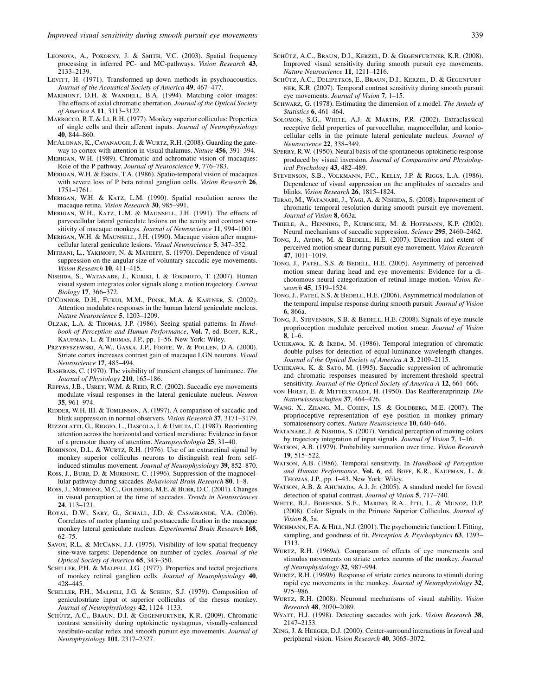- LEVITT, H. (1971). Transformed up-down methods in psychoacoustics. Journal of the Acoustical Society of America 49, 467-477.
- MARIMONT, D.H. & WANDELL, B.A. (1994). Matching color images: The effects of axial chromatic aberration. Journal of the Optical Society of America A 11, 3113–3122.
- Marrocco, R.T. & Li, R.H. (1977). Monkey superior colliculus: Properties of single cells and their afferent inputs. Journal of Neurophysiology 40, 844–860.
- McAlonan, K., Cavanaugh, J. & Wurtz, R.H. (2008). Guarding the gateway to cortex with attention in visual thalamus. Nature 456, 391-394.
- Merigan, W.H. (1989). Chromatic and achromatic vision of macaques: Role of the P pathway. Journal of Neuroscience 9, 776–783.
- Merigan, W.H. & Eskin, T.A. (1986). Spatio-temporal vision of macaques with severe loss of P beta retinal ganglion cells. Vision Research 26, 1751–1761.
- Merigan, W.H. & Katz, L.M. (1990). Spatial resolution across the macaque retina. Vision Research 30, 985–991.
- Merigan, W.H., Katz, L.M. & Maunsell, J.H. (1991). The effects of parvocellular lateral geniculate lesions on the acuity and contrast sensitivity of macaque monkeys. Journal of Neuroscience 11, 994–1001.
- MERIGAN, W.H. & MAUNSELL, J.H. (1990). Macaque vision after magnocellular lateral geniculate lesions. Visual Neuroscience 5, 347–352.
- MITRANI, L., YAKIMOFF, N. & MATEEFF, S. (1970). Dependence of visual suppression on the angular size of voluntary saccadic eye movements. Vision Research 10, 411–415.
- Nishida, S., Watanabe, J., Kuriki, I. & Tokimoto, T. (2007). Human visual system integrates color signals along a motion trajectory. Current Biology 17, 366–372.
- O'Connor, D.H., Fukui, M.M., Pinsk, M.A. & Kastner, S. (2002). Attention modulates responses in the human lateral geniculate nucleus. Nature Neuroscience 5, 1203–1209.
- Olzak, L.A. & Thomas, J.P. (1986). Seeing spatial patterns. In Handbook of Perception and Human Performance, Vol. 7, ed. BOFF, K.R., Kaufman, L. & Thomas, J.P., pp. 1–56. New York: Wiley.
- Przybyszewski, A.W., Gaska, J.P., Foote, W. & Pollen, D.A. (2000). Striate cortex increases contrast gain of macaque LGN neurons. Visual Neuroscience 17, 485–494.
- RASHBASS, C. (1970). The visibility of transient changes of luminance. The Journal of Physiology 210, 165–186.
- REPPAS, J.B., USREY, W.M. & REID, R.C. (2002). Saccadic eye movements modulate visual responses in the lateral geniculate nucleus. Neuron 35, 961–974.
- RIDDER, W.H. III. & TOMLINSON, A. (1997). A comparison of saccadic and blink suppression in normal observers. Vision Research 37, 3171–3179.
- Rizzolatti, G., Riggio, L., Dascola, I. & Umilta, C. (1987). Reorienting attention across the horizontal and vertical meridians: Evidence in favor of a premotor theory of attention. Neuropsychologia 25, 31–40.
- Robinson, D.L. & Wurtz, R.H. (1976). Use of an extraretinal signal by monkey superior colliculus neurons to distinguish real from selfinduced stimulus movement. Journal of Neurophysiology 39, 852–870.
- Ross, J., Burr, D. & Morrone, C. (1996). Suppression of the magnocellular pathway during saccades. Behavioral Brain Research 80, 1–8.
- Ross, J., Morrone, M.C., Goldberg, M.E. & Burr, D.C. (2001). Changes in visual perception at the time of saccades. Trends in Neurosciences 24, 113–121.
- Royal, D.W., Sary, G., Schall, J.D. & Casagrande, V.A. (2006). Correlates of motor planning and postsaccadic fixation in the macaque monkey lateral geniculate nucleus. Experimental Brain Research 168, 62–75.
- Savoy, R.L. & McCann, J.J. (1975). Visibility of low-spatial-frequency sine-wave targets: Dependence on number of cycles. Journal of the Optical Society of America 65, 343–350.
- SCHILLER, P.H. & MALPELI, J.G. (1977). Properties and tectal projections of monkey retinal ganglion cells. Journal of Neurophysiology 40, 428–445.
- SCHILLER, P.H., MALPELI, J.G. & SCHEIN, S.J. (1979). Composition of geniculostriate input ot superior colliculus of the rhesus monkey. Journal of Neurophysiology 42, 1124-1133.
- SCHÜTZ, A.C., BRAUN, D.I. & GEGENFURTNER, K.R. (2009). Chromatic contrast sensitivity during optokinetic nystagmus, visually-enhanced vestibulo-ocular reflex and smooth pursuit eye movements. Journal of Neurophysiology 101, 2317–2327.
- SCHÜTZ, A.C., BRAUN, D.I., KERZEL, D. & GEGENFURTNER, K.R. (2008). Improved visual sensitivity during smooth pursuit eye movements. Nature Neuroscience 11, 1211–1216.
- SCHÜTZ, A.C., DELIPETKOS, E., BRAUN, D.I., KERZEL, D. & GEGENFURTner, K.R. (2007). Temporal contrast sensitivity during smooth pursuit eye movements. Journal of Vision 7, 1–15.
- SCHWARZ, G. (1978). Estimating the dimension of a model. The Annals of Statistics 6, 461–464.
- Solomon, S.G., White, A.J. & Martin, P.R. (2002). Extraclassical receptive field properties of parvocellular, magnocellular, and koniocellular cells in the primate lateral geniculate nucleus. Journal of Neuroscience 22, 338–349.
- Sperry, R.W. (1950). Neural basis of the spontaneous optokinetic response produced by visual inversion. Journal of Comparative and Physiological Psychology 43, 482–489.
- STEVENSON, S.B., VOLKMANN, F.C., KELLY, J.P. & RIGGS, L.A. (1986). Dependence of visual suppression on the amplitudes of saccades and blinks. Vision Research 26, 1815–1824.
- Terao, M., Watanabe, J., Yagi, A. & Nishida, S. (2008). Improvement of chromatic temporal resolution during smooth pursuit eye movement. Journal of Vision 8, 663a.
- Thiele, A., Henning, P., Kubischik, M. & Hoffmann, K.P. (2002). Neural mechanisms of saccadic suppression. Science 295, 2460–2462.
- Tong, J., Aydın, M. & BEDELL, H.E. (2007). Direction and extent of perceived motion smear during pursuit eye movement. Vision Research 47, 1011–1019.
- Tong, J., PATEL, S.S. & BEDELL, H.E. (2005). Asymmetry of perceived motion smear during head and eye movements: Evidence for a dichotomous neural categorization of retinal image motion. Vision Research 45, 1519–1524.
- TONG, J., PATEL, S.S. & BEDELL, H.E. (2006). Asymmetrical modulation of the temporal impulse response during smooth pursuit. Journal of Vision 6, 866a.
- Tong, J., Stevenson, S.B. & Bedell, H.E. (2008). Signals of eye-muscle proprioception modulate perceived motion smear. Journal of Vision 8, 1–6.
- UCHIKAWA, K. & IKEDA, M. (1986). Temporal integration of chromatic double pulses for detection of equal-luminance wavelength changes. Journal of the Optical Society of America A 3, 2109–2115.
- Uchikawa, K. & Sato, M. (1995). Saccadic suppression of achromatic and chromatic responses measured by increment-threshold spectral sensitivity. Journal of the Optical Society of America A 12, 661–666.
- von Holst, E. & MITTELSTAEDT, H. (1950). Das Reafferenzprinzip. Die Naturwissenschaften 37, 464–476.
- Wang, X., Zhang, M., Cohen, I.S. & Goldberg, M.E. (2007). The proprioceptive representation of eye position in monkey primary somatosensory cortex. Nature Neuroscience 10, 640–646.
- WATANABE, J. & NISHIDA, S. (2007). Veridical perception of moving colors by trajectory integration of input signals. Journal of Vision 7, 1–16.
- Watson, A.B. (1979). Probability summation over time. Vision Research 19, 515–522.
- WATSON, A.B. (1986). Temporal sensitivity. In Handbook of Perception and Human Performance, Vol. 6, ed. BOFF, K.R., KAUFMAN, L. & Thomas, J.P., pp. 1–43. New York: Wiley.
- WATSON, A.B. & AHUMADA, A.J. Jr. (2005). A standard model for foveal detection of spatial contrast. Journal of Vision 5, 717–740.
- White, B.J., Boehnke, S.E., Marino, R.A., Itti, L. & Munoz, D.P. (2008). Color Signals in the Primate Superior Colliculus. Journal of Vision 8, 5a.
- WICHMANN, F.A. & HILL, N.J. (2001). The psychometric function: I. Fitting, sampling, and goodness of fit. Perception & Psychophysics 63, 1293– 1313.
- Wurtz, R.H. (1969a). Comparison of effects of eye movements and stimulus movements on striate cortex neurons of the monkey. Journal of Neurophysiology 32, 987–994.
- WURTZ, R.H. (1969b). Response of striate cortex neurons to stimuli during rapid eye movements in the monkey. Journal of Neurophysiology 32, 975–986.
- Wurtz, R.H. (2008). Neuronal mechanisms of visual stability. Vision Research 48, 2070–2089.
- WYATT, H.J. (1998). Detecting saccades with jerk. Vision Research 38, 2147–2153.
- Xing, J. & Heeger, D.J. (2000). Center-surround interactions in foveal and peripheral vision. Vision Research 40, 3065–3072.